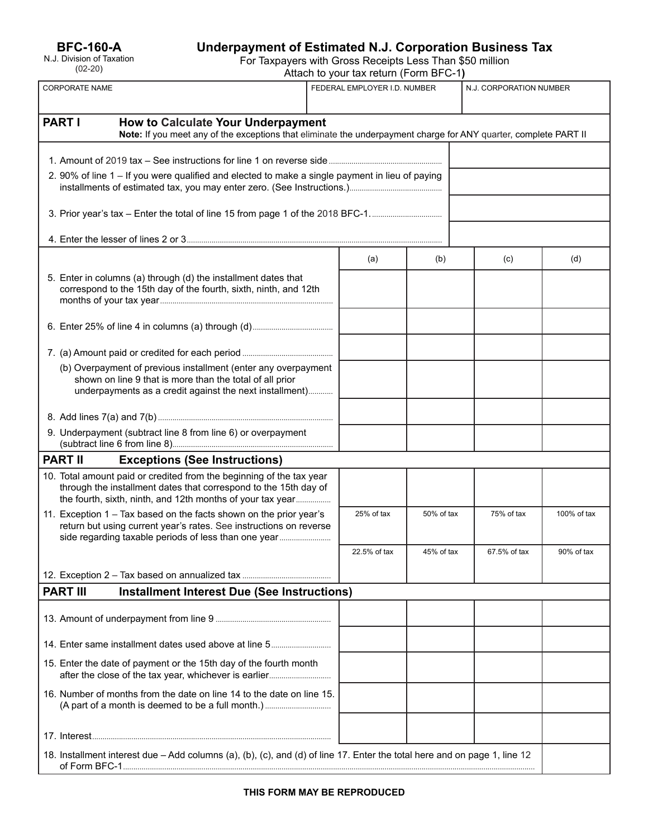# **Underpayment of Estimated N.J. Corporation Business Tax**

For Taxpayers with Gross Receipts Less Than \$50 million

Attach to your tax return (Form BFC-1**)**

| <b>CORPORATE NAME</b>                                                                                                                                                                                  |              | FEDERAL EMPLOYER I.D. NUMBER |            | N.J. CORPORATION NUMBER |             |
|--------------------------------------------------------------------------------------------------------------------------------------------------------------------------------------------------------|--------------|------------------------------|------------|-------------------------|-------------|
|                                                                                                                                                                                                        |              |                              |            |                         |             |
| <b>PART I</b><br><b>How to Calculate Your Underpayment</b><br>Note: If you meet any of the exceptions that eliminate the underpayment charge for ANY quarter, complete PART II                         |              |                              |            |                         |             |
|                                                                                                                                                                                                        |              |                              |            |                         |             |
| 2. 90% of line 1 - If you were qualified and elected to make a single payment in lieu of paying                                                                                                        |              |                              |            |                         |             |
|                                                                                                                                                                                                        |              |                              |            |                         |             |
|                                                                                                                                                                                                        |              |                              |            |                         |             |
|                                                                                                                                                                                                        | (a)          |                              | (b)        | (c)                     | (d)         |
| 5. Enter in columns (a) through (d) the installment dates that<br>correspond to the 15th day of the fourth, sixth, ninth, and 12th                                                                     |              |                              |            |                         |             |
|                                                                                                                                                                                                        |              |                              |            |                         |             |
|                                                                                                                                                                                                        |              |                              |            |                         |             |
| (b) Overpayment of previous installment (enter any overpayment<br>shown on line 9 that is more than the total of all prior<br>underpayments as a credit against the next installment)                  |              |                              |            |                         |             |
|                                                                                                                                                                                                        |              |                              |            |                         |             |
| 9. Underpayment (subtract line 8 from line 6) or overpayment                                                                                                                                           |              |                              |            |                         |             |
| <b>PART II</b><br><b>Exceptions (See Instructions)</b>                                                                                                                                                 |              |                              |            |                         |             |
| 10. Total amount paid or credited from the beginning of the tax year<br>through the installment dates that correspond to the 15th day of<br>the fourth, sixth, ninth, and 12th months of your tax year |              |                              |            |                         |             |
| 11. Exception 1 - Tax based on the facts shown on the prior year's<br>return but using current year's rates. See instructions on reverse<br>side regarding taxable periods of less than one year       |              | 25% of tax<br>50% of tax     |            | 75% of tax              | 100% of tax |
|                                                                                                                                                                                                        | 22.5% of tax |                              | 45% of tax | 67.5% of tax            | 90% of tax  |
|                                                                                                                                                                                                        |              |                              |            |                         |             |
| <b>Installment Interest Due (See Instructions)</b><br><b>PART III</b>                                                                                                                                  |              |                              |            |                         |             |
|                                                                                                                                                                                                        |              |                              |            |                         |             |
| 14. Enter same installment dates used above at line 5                                                                                                                                                  |              |                              |            |                         |             |
| 15. Enter the date of payment or the 15th day of the fourth month                                                                                                                                      |              |                              |            |                         |             |
| 16. Number of months from the date on line 14 to the date on line 15.                                                                                                                                  |              |                              |            |                         |             |
|                                                                                                                                                                                                        |              |                              |            |                         |             |
| 18. Installment interest due - Add columns (a), (b), (c), and (d) of line 17. Enter the total here and on page 1, line 12                                                                              |              |                              |            |                         |             |